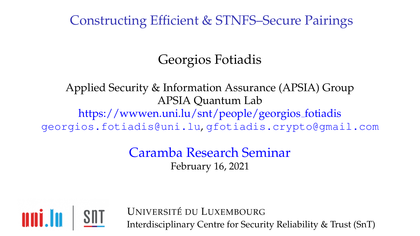Constructing Efficient & STNFS–Secure Pairings

Georgios Fotiadis

Applied Security & Information Assurance (APSIA) Group APSIA Quantum Lab [https://wwwen.uni.lu/snt/people/georgios](https://wwwen.uni.lu/snt/people/georgios_fotiadis) fotiadis georgios.fotiadis@uni.lu, gfotiadis.crypto@gmail.com

> Caramba Research Seminar February 16, 2021



UNIVERSITÉ DU LUXEMBOURG Interdisciplinary Centre for Security Reliability & Trust (SnT)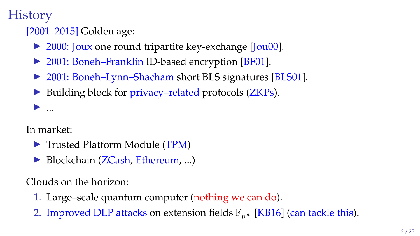#### **History**

[2001–2015] Golden age:

- ▶ 2000: Joux one round tripartite key-exchange [\[Jou00\]](#page-29-0).
- ▶ 2001: Boneh–Franklin ID-based encryption [\[BF01\]](#page-26-0).
- ▶ 2001: Boneh–Lynn–Shacham short BLS signatures [\[BLS01\]](#page-27-0).
- Building block for *privacy–related* protocols (*ZKPs*).

In market:

 $\blacktriangleright$  ...

- ▶ Trusted Platform Module (TPM)
- Blockchain (ZCash, Ethereum, ...)

Clouds on the horizon:

- 1. Large–scale quantum computer (nothing we can do).
- 2. Improved DLP attacks on extension fields  $\mathbb{F}_{p^{ab}}$  [\[KB16\]](#page-30-0) (can tackle this).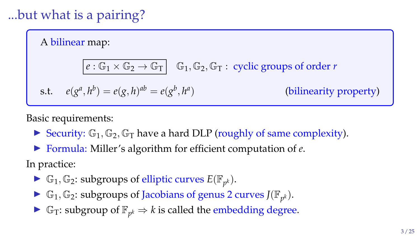# ...but what is a pairing?

# A bilinear map:  $|e:\mathbb{G}_1\times \mathbb{G}_2\to \mathbb{G}_T|$   $\mathbb{G}_1,\mathbb{G}_2,\mathbb{G}_T$  : cyclic groups of order *r* s.t.  $e(g^a, h^b) = e(g, h)^{ab} = e(g^b, h^a)$ ) (bilinearity property)

Basic requirements:

- Security:  $\mathbb{G}_1$ ,  $\mathbb{G}_2$ ,  $\mathbb{G}_T$  have a hard DLP (roughly of same complexity).
- ▶ Formula: Miller's algorithm for efficient computation of *e*.

In practice:

- $\blacktriangleright$   $\mathbb{G}_1$ ,  $\mathbb{G}_2$ : subgroups of elliptic curves  $E(\mathbb{F}_{p^k})$ .
- $\blacktriangleright \mathbb{G}_1, \mathbb{G}_2$ : subgroups of Jacobians of genus 2 curves  $J(\mathbb{F}_{p^k})$ .
- ►  $\mathbb{G}_T$ : subgroup of  $\mathbb{F}_{p^k}$   $\Rightarrow$  *k* is called the embedding degree.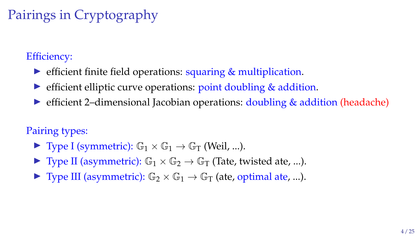# Pairings in Cryptography

#### Efficiency:

- $\triangleright$  efficient finite field operations: squaring & multiplication.
- efficient elliptic curve operations: point doubling & addition.
- efficient 2–dimensional Jacobian operations: doubling & addition (headache)

#### Pairing types:

- $\blacktriangleright$  Type I (symmetric):  $\mathbb{G}_1 \times \mathbb{G}_1 \rightarrow \mathbb{G}_T$  (Weil, ...).
- $\blacktriangleright$  Type II (asymmetric):  $\mathbb{G}_1 \times \mathbb{G}_2 \rightarrow \mathbb{G}_T$  (Tate, twisted ate, ...).
- $\blacktriangleright$  Type III (asymmetric):  $\mathbb{G}_2 \times \mathbb{G}_1 \rightarrow \mathbb{G}_T$  (ate, optimal ate, ...).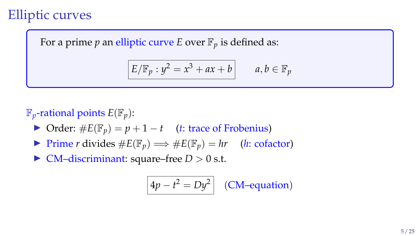#### Elliptic curves

For a prime *p* an elliptic curve *E* over  $\mathbb{F}_p$  is defined as:

$$
E/\mathbb{F}_p : y^2 = x^3 + ax + b \qquad a, b \in \mathbb{F}_p
$$

 $\mathbb{F}_p$ -rational points  $E(\mathbb{F}_p)$ :

- $\triangleright$  Order: #*E*( $\mathbb{F}_p$ ) = *p* + 1 − *t* (*t*: trace of Frobenius)
- ▶ Prime *r* divides  $#E(\mathbb{F}_p) \implies #E(\mathbb{F}_p) = hr$  (*h*: cofactor)
- $\triangleright$  CM–discriminant: square–free *D* > 0 s.t.

$$
4p - t^2 = Dy^2
$$
 (CM-equation)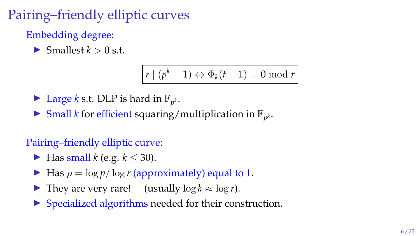Pairing–friendly elliptic curves

Embedding degree:

 $\blacktriangleright$  Smallest  $k > 0$  s.t.

$$
r \mid (p^k - 1) \Leftrightarrow \Phi_k(t - 1) \equiv 0 \bmod r
$$

- I Large *k* s.t. DLP is hard in  $\mathbb{F}_{p^k}$ .
- $\blacktriangleright$  Small *k* for efficient squaring/multiplication in  $\mathbb{F}_{p^k}$ .

#### Pairing–friendly elliptic curve:

- $\blacktriangleright$  Has small *k* (e.g.  $k < 30$ ).
- $\blacktriangleright$  Has  $\rho = \log p / \log r$  (approximately) equal to 1.
- **►** They are very rare! (usually  $\log k \approx \log r$ ).
- $\triangleright$  Specialized algorithms needed for their construction.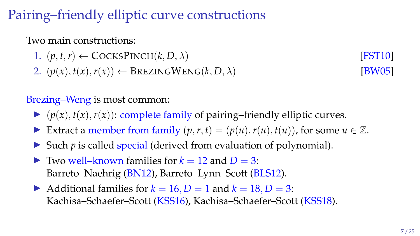Pairing–friendly elliptic curve constructions

#### Two main constructions:

- 1.  $(p, t, r) \leftarrow \text{COCKSPINCH}(k, D, \lambda)$  [\[FST10\]](#page-28-0)
- 2.  $(p(x), t(x), r(x)) \leftarrow \text{BREZINGWENG}(k, D, \lambda)$  [\[BW05\]](#page-27-1)

#### Brezing–Weng is most common:

- $\blacktriangleright$   $(p(x), t(x), r(x))$ : complete family of pairing–friendly elliptic curves.
- ▶ Extract a member from family  $(p, r, t) = (p(u), r(u), t(u))$ , for some  $u \in \mathbb{Z}$ .
- $\triangleright$  Such *p* is called special (derived from evaluation of polynomial).
- I Two well–known families for  $k = 12$  and  $D = 3$ : Barreto–Naehrig (BN12), Barreto–Lynn–Scott (BLS12).
- Additional families for  $k = 16$ ,  $D = 1$  and  $k = 18$ ,  $D = 3$ : Kachisa–Schaefer–Scott (KSS16), Kachisa–Schaefer–Scott (KSS18).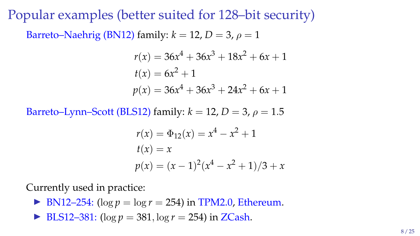Popular examples (better suited for 128–bit security) Barreto–Naehrig (BN12) family:  $k = 12$ ,  $D = 3$ ,  $\rho = 1$ 

$$
r(x) = 36x4 + 36x3 + 18x2 + 6x + 1
$$
  

$$
t(x) = 6x2 + 1
$$
  

$$
p(x) = 36x4 + 36x3 + 24x2 + 6x + 1
$$

Barreto–Lynn–Scott (BLS12) family:  $k = 12$ ,  $D = 3$ ,  $\rho = 1.5$ 

$$
r(x) = \Phi_{12}(x) = x^4 - x^2 + 1
$$
  
\n
$$
t(x) = x
$$
  
\n
$$
p(x) = (x - 1)^2(x^4 - x^2 + 1)/3 + x
$$

Currently used in practice:

- **•** BN12–254: ( $\log p = \log r = 254$ ) in TPM2.0, Ethereum.
- **IDENSIZ-381:** (log  $p = 381$ , log  $r = 254$ ) in ZCash.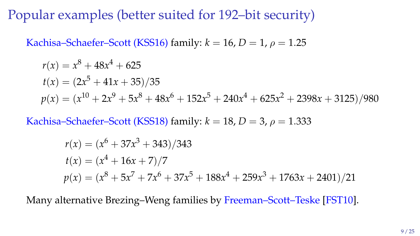Popular examples (better suited for 192–bit security)

Kachisa–Schaefer–Scott (KSS16) family:  $k = 16$ ,  $D = 1$ ,  $\rho = 1.25$ 

$$
r(x) = x8 + 48x4 + 625
$$
  
\n
$$
t(x) = (2x5 + 41x + 35)/35
$$
  
\n
$$
p(x) = (x10 + 2x9 + 5x8 + 48x6 + 152x5 + 240x4 + 625x2 + 2398x + 3125)/980
$$

Kachisa–Schaefer–Scott (KSS18) family:  $k = 18$ ,  $D = 3$ ,  $\rho = 1.333$ 

$$
r(x) = (x6 + 37x3 + 343)/343
$$
  
\n
$$
t(x) = (x4 + 16x + 7)/7
$$
  
\n
$$
p(x) = (x8 + 5x7 + 7x6 + 37x5 + 188x4 + 259x3 + 1763x + 2401)/21
$$

Many alternative Brezing–Weng families by Freeman–Scott–Teske [\[FST10\]](#page-28-0).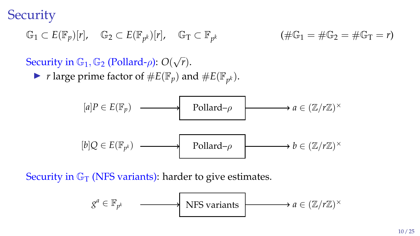**Security** 

$$
\mathbb{G}_1 \subset E(\mathbb{F}_p)[r], \quad \mathbb{G}_2 \subset E(\mathbb{F}_{p^k})[r], \quad \mathbb{G}_T \subset \mathbb{F}_{p^k} \qquad (\#\mathbb{G}_1 = \#\mathbb{G}_2 = \#\mathbb{G}_T = r)
$$

#### Security in  $\mathbb{G}_1$ ,  $\mathbb{G}_2$  (Pollard- $\rho$ ):  $O(\sqrt{\frac{2}{\sqrt{2}}})$ *r*).

▶ *r* large prime factor of  $#E(\mathbb{F}_p)$  and  $#E(\mathbb{F}_{p^k})$ .



Security in  $\mathbb{G}_{T}$  (NFS variants): harder to give estimates.

$$
g^a \in \mathbb{F}_{p^k}
$$
  $\longrightarrow$  NFS variants  $\longrightarrow$   $a \in (\mathbb{Z}/r\mathbb{Z})^{\times}$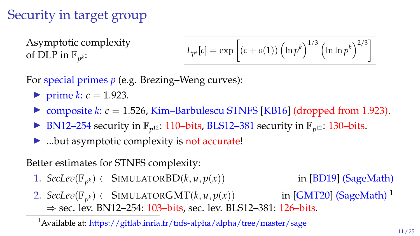# Security in target group

Asymptotic complexity of DLP in  $\mathbb{F}_{p^k}$ :

$$
L_{p^k}[c] = \exp\left[ (c + o(1)) \left( \ln p^k \right)^{1/3} \left( \ln \ln p^k \right)^{2/3} \right]
$$

For special primes *p* (e.g. Brezing–Weng curves):

- rime  $k$ :  $c = 1.923$ .
- $\triangleright$  composite *k*:  $c = 1.526$ , Kim–Barbulescu STNFS [\[KB16\]](#page-30-0) (dropped from 1.923).
- ▶ BN12–254 security in  $\mathbb{F}_{p^{12}}$ : 110–bits, BLS12–381 security in  $\mathbb{F}_{p^{12}}$ : 130–bits.
- $\blacktriangleright$  ...but asymptotic complexity is not accurate!

Better estimates for STNFS complexity:

1.  $SecLev(\mathbb{F}_{p^k}) \leftarrow \text{SIMULATORBD}(k, u, p(x))$  in [\[BD19\]](#page-26-1) (SageMath)

2.  $\textit{SecLev}(\mathbb{F}_{p^k}) \leftarrow \text{SIMULATORGMT}(k, u, p(x))$  in [\[GMT20\]](#page-28-1) (SageMath) <sup>1</sup>  $\Rightarrow$  sec. lev. BN12–254: 103–bits, sec. lev. BLS12–381: 126–bits.

 $1$ Available at: <https://gitlab.inria.fr/tnfs-alpha/alpha/tree/master/sage>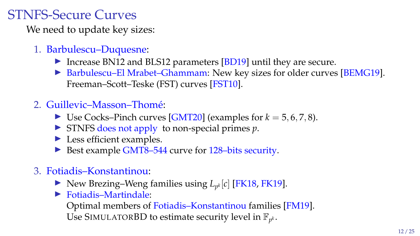# STNFS-Secure Curves

We need to update key sizes:

- 1. Barbulescu–Duquesne:
	- Increase BN12 and BLS12 parameters  $[BD19]$  until they are secure.
	- $\triangleright$  Barbulescu–El Mrabet–Ghammam: New key sizes for older curves [\[BEMG19\]](#page-26-2). Freeman–Scott–Teske (FST) curves [\[FST10\]](#page-28-0).
- 2. Guillevic–Masson–Thome´:
	- I Use Cocks–Pinch curves  $[GMT20]$  (examples for  $k = 5, 6, 7, 8$ ).
	- $\triangleright$  STNFS does not apply to non-special primes *p*.
	- $\blacktriangleright$  Less efficient examples.
	- $\triangleright$  Best example GMT8–544 curve for 128–bits security.
- 3. Fotiadis–Konstantinou:
	- $\blacktriangleright$  New Brezing–Weng families using  $L_{p^k}[c]$  [\[FK18,](#page-27-2) [FK19\]](#page-28-2).
	- $\blacktriangleright$  Fotiadis–Martindale:

Optimal members of Fotiadis–Konstantinou families [\[FM19\]](#page-28-3). Use SIMULATORBD to estimate security level in  $\mathbb{F}_{p^k}$ .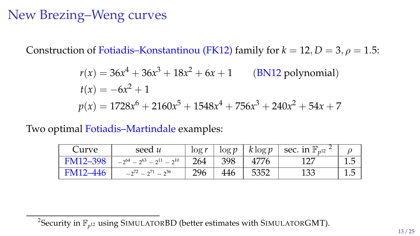#### New Brezing–Weng curves

Construction of Fotiadis–Konstantinou (FK12) family for  $k = 12, D = 3, \rho = 1.5$ :

$$
r(x) = 36x4 + 36x3 + 18x2 + 6x + 1
$$
 (BN12 polynomial)  

$$
t(x) = -6x2 + 1
$$

$$
p(x) = 1728x6 + 2160x5 + 1548x4 + 756x3 + 240x2 + 54x + 7
$$

Two optimal Fotiadis–Martindale examples:

| Curve           | seed u                               | $\log r$ |     | $\log p \mid k \log p$ | sec. in $\mathbb{F}_{n^{12}}$ <sup>2</sup> |           |
|-----------------|--------------------------------------|----------|-----|------------------------|--------------------------------------------|-----------|
| <b>FM12-398</b> | $-2^{64} - 2^{63} - 2^{11} - 2^{10}$ | 264      | 398 | 4776                   |                                            | 1.5       |
| FM12-446        | $-2^{72} - 2^{71} - 2^{36}$          | 296      | 446 | 5352                   | 133                                        | 15<br>⊥⊷∪ |

 $^2$ Security in  $\mathbb{F}_{p^{12}}$  using SIMULATORBD (better estimates with SIMULATORGMT).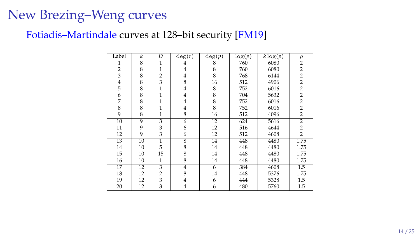# New Brezing–Weng curves

#### Fotiadis–Martindale curves at 128–bit security [\[FM19\]](#page-28-3)

| Label          | k                       | D                         | $\deg(r)$      | $\deg(p)$ | log(p) | $\overline{k \log(p)}$ | $\rho$         |
|----------------|-------------------------|---------------------------|----------------|-----------|--------|------------------------|----------------|
| 1              | $\overline{\mathbf{8}}$ | 1                         | $\overline{4}$ | 8         | 760    | 6080                   | $\overline{2}$ |
| $\overline{2}$ | 8                       | 1                         | 4              | 8         | 760    | 6080                   | $\overline{2}$ |
| 3              | 8                       | $\overline{2}$            | $\overline{4}$ | 8         | 768    | 6144                   | $\overline{2}$ |
| $\frac{4}{5}$  | 8                       | 3                         | 8              | 16        | 512    | 4906                   | $\overline{2}$ |
|                | 8                       | 1                         | $\overline{4}$ | 8         | 752    | 6016                   | $\overline{2}$ |
| 6              | 8                       | 1                         | 4              | 8         | 704    | 5632                   | $\overline{2}$ |
| 7              | 8                       | 1                         | $\overline{4}$ | 8         | 752    | 6016                   | $\overline{2}$ |
| 8              | 8                       | 1                         | $\overline{4}$ | 8         | 752    | 6016                   | $\overline{2}$ |
| 9              | 8                       | 1                         | 8              | 16        | 512    | 4096                   | $\overline{2}$ |
| 10             | 9                       | $\overline{\overline{3}}$ | $\overline{6}$ | 12        | 624    | 5616                   | $\overline{2}$ |
| 11             | 9                       | 3                         | 6              | 12        | 516    | 4644                   | $\overline{2}$ |
| 12             | 9                       | 3                         | 6              | 12        | 512    | 4608                   | $\overline{2}$ |
| 13             | 10                      | ī                         | 8              | 14        | 448    | 4480                   | 1.75           |
| 14             | 10                      | 5                         | 8              | 14        | 448    | 4480                   | 1.75           |
| 15             | 10                      | 15                        | 8              | 14        | 448    | 4480                   | 1.75           |
| 16             | 10                      | $\mathbf{1}$              | 8              | 14        | 448    | 4480                   | 1.75           |
| 17             | 12                      | 3                         | 4              | 6         | 384    | 4608                   | 1.5            |
| 18             | 12                      | 2                         | 8              | 14        | 448    | 5376                   | 1.75           |
| 19             | 12                      | 3                         | 4              | 6         | 444    | 5328                   | 1.5            |
| 20             | 12                      | 3                         | $\overline{4}$ | 6         | 480    | 5760                   | 1.5            |
|                |                         |                           |                |           |        |                        |                |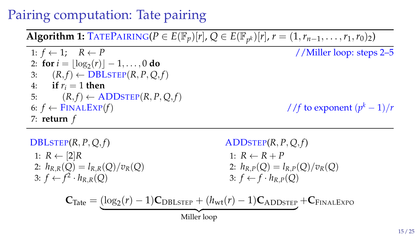# Pairing computation: Tate pairing

**Algorithm 1:**  $\text{TATEPAIRING}(P \in E(\mathbb{F}_p)[r], Q \in E(\mathbb{F}_{p^k})[r], r = (1, r_{n-1}, \ldots, r_1, r_0)_2$ 

1:  $f \leftarrow 1$ ;  $R \leftarrow P$  //Miller loop: steps 2–5 2: **for**  $i = \lfloor \log_2(r) \rfloor - 1, \ldots, 0$  **do** 3:  $(R, f) \leftarrow \text{DBLSTEP}(R, P, Q, f)$ 4: **if**  $r_i = 1$  **then** 5:  $(R, f) \leftarrow \text{ADDSTEP}(R, P, Q, f)$ 6:  $f \leftarrow \text{FINALEXP}(f)$ 7: **return** *f*

//*f* to exponent  $(p^k - 1)/r$ 

 $DBLSTEP(R, P, Q, f)$ 1:  $R \leftarrow [2]R$ 2:  $h_{R,R}(O) = l_{R,R}(O)/v_R(O)$ 3:  $f \leftarrow f^2 \cdot h_{R,R}(Q)$ 

ADDSTEP(*R*, *P*, *Q*, *f*) 1:  $R \leftarrow R + P$ 2:  $h_{R} p(O) = l_{R} p(O)/v_{R}(O)$  $3: f \leftarrow f \cdot h_{R,P}(Q)$ 

$$
\mathbf{C}_{\text{Tate}} = \underbrace{(\log_2(r)-1)\mathbf{C}_{\text{DBLSTEP}} + (h_\text{wt}(r)-1)\mathbf{C}_{\text{ADDSTEP}}}_{\text{Miller loop}} + \mathbf{C}_{\text{FINALEXPO}}
$$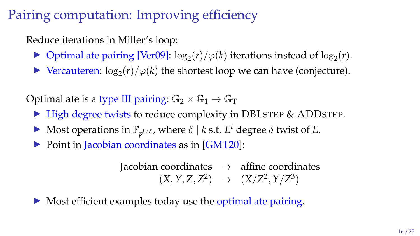# Pairing computation: Improving efficiency

Reduce iterations in Miller's loop:

- ▶ Optimal ate pairing [\[Ver09\]](#page-30-1):  $\log_2(r)/\varphi(k)$  iterations instead of  $\log_2(r)$ .
- ▶ Vercauteren:  $\log_2(r)/\varphi(k)$  the shortest loop we can have (conjecture).

Optimal ate is a type III pairing:  $\mathbb{G}_2 \times \mathbb{G}_1 \to \mathbb{G}_T$ 

- ▶ High degree twists to reduce complexity in DBLSTEP & ADDSTEP.
- $\blacktriangleright$  Most operations in  $\mathbb{F}_{p^{k/δ}}$ , where  $\delta \mid k$  s.t. *E*<sup>*t*</sup> degree  $\delta$  twist of *E*.
- $\triangleright$  Point in Jacobian coordinates as in [\[GMT20\]](#page-28-1):

Jacobian coordinates  $\rightarrow$  affine coordinates  $(X, Y, Z, Z^2) \rightarrow (X/Z^2, Y/Z^3)$ 

Most efficient examples today use the optimal ate pairing.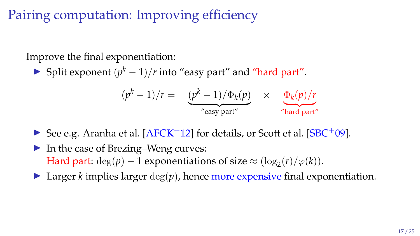Pairing computation: Improving efficiency

Improve the final exponentiation:

**►** Split exponent  $(p<sup>k</sup> - 1)/r$  into "easy part" and "hard part".



- $\triangleright$  See e.g. Aranha et al. [\[AFCK](#page-26-3)<sup>+</sup>12] for details, or Scott et al. [\[SBC](#page-30-2)<sup>+</sup>09].
- In the case of Brezing–Weng curves: Hard part:  $\deg(p) - 1$  exponentiations of size  $\approx (\log_2(r)/\varphi(k)).$
- In Larger *k* implies larger  $\deg(p)$ , hence more expensive final exponentiation.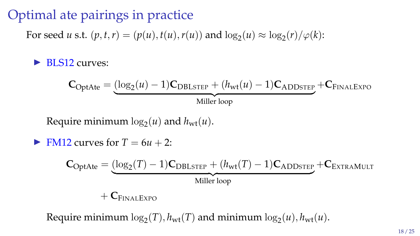#### Optimal ate pairings in practice

For seed *u* s.t.  $(p, t, r) = (p(u), t(u), r(u))$  and  $\log_2(u) \approx \log_2(r)/\varphi(k)$ :

 $\triangleright$  BLS12 curves:

$$
C_{\text{OptAte}} = \underbrace{(\log_2(u) - 1)C_{\text{DBLSTEP}} + (h_{\text{wt}}(u) - 1)C_{\text{ADDSTEP}}}_{\text{Miller loop}} + C_{\text{FINALEXPO}}
$$

Require minimum  $\log_2(u)$  and  $h_{\rm wt}(u)$ .

 $\blacktriangleright$  FM12 curves for  $T = 6u + 2$ :

$$
C_{OptAte} = \underbrace{(\log_2(T) - 1)C_{DBLSTEP} + (h_{wt}(T) - 1)C_{ADDSTEP}}_{Miller loop} + C_{ENTRAMULT}
$$
  
 
$$
+ C_{FINALEXPO}
$$

Require minimum  $\log_2(T)$ ,  $h_{wt}(T)$  and minimum  $\log_2(u)$ ,  $h_{wt}(u)$ .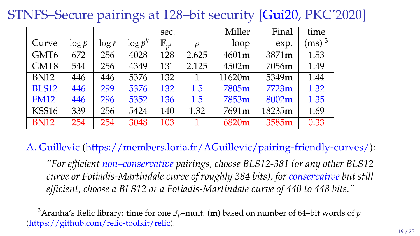STNFS–Secure pairings at 128–bit security [\[Gui20,](#page-29-1) PKC'2020]

|                  |          |          |            | sec.               |               | Miller | Final  | time         |
|------------------|----------|----------|------------|--------------------|---------------|--------|--------|--------------|
| Curve            | $\log p$ | $\log r$ | $\log p^k$ | $\mathbb{F}_{p^k}$ | $\mathcal{D}$ | loop   | exp.   | $\rm (ms)^3$ |
| GMT <sub>6</sub> | 672      | 256      | 4028       | 128                | 2.625         | 4601m  | 3871m  | 1.53         |
| GMT8             | 544      | 256      | 4349       | 131                | 2.125         | 4502m  | 7056m  | 1.49         |
| <b>BN12</b>      | 446      | 446      | 5376       | 132                | 1             | 11620m | 5349m  | 1.44         |
| <b>BLS12</b>     | 446      | 299      | 5376       | 132                | 1.5           | 7805m  | 7723m  | 1.32         |
| <b>FM12</b>      | 446      | 296      | 5352       | 136                | 1.5           | 7853m  | 8002m  | 1.35         |
| KSS16            | 339      | 256      | 5424       | 140                | 1.32          | 7691m  | 18235m | 1.69         |
| <b>BN12</b>      | 254      | 254      | 3048       | 103                | 1             | 6820m  | 3585m  | 0.33         |

A. Guillevic [\(https://members.loria.fr/AGuillevic/pairing-friendly-curves/\)](https://members.loria.fr/AGuillevic/pairing-friendly-curves/):

*"For efficient non–conservative pairings, choose BLS12-381 (or any other BLS12 curve or Fotiadis-Martindale curve of roughly 384 bits), for conservative but still efficient, choose a BLS12 or a Fotiadis-Martindale curve of 440 to 448 bits."*

<sup>&</sup>lt;sup>3</sup> Aranha's Relic library: time for one  $\mathbb{F}_p$ -mult. (**m**) based on number of 64-bit words of *p* [\(https://github.com/relic-toolkit/relic\)](https://github.com/relic-toolkit/relic).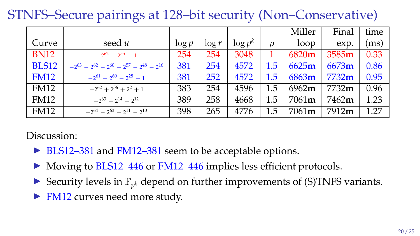#### STNFS–Secure pairings at 128–bit security (Non–Conservative)

|              |                                                        |          |          |            |        | Miller | Final | time |
|--------------|--------------------------------------------------------|----------|----------|------------|--------|--------|-------|------|
| Curve        | seed $u$                                               | $\log p$ | $\log r$ | $\log p^k$ | $\rho$ | loop   | exp.  | (ms) |
| <b>BN12</b>  | $-2^{62} - 2^{55} - 1$                                 | 254      | 254      | 3048       |        | 6820m  | 3585m | 0.33 |
| <b>BLS12</b> | $-2^{63} - 2^{62} - 2^{60} - 2^{57} - 2^{48} - 2^{16}$ | 381      | 254      | 4572       | 1.5    | 6625m  | 6673m | 0.86 |
| <b>FM12</b>  | $-2^{61} - 2^{60} - 2^{28} - 1$                        | 381      | 252      | 4572       | 1.5    | 6863m  | 7732m | 0.95 |
| <b>FM12</b>  | $-2^{62} + 2^{56} + 2^2 + 1$                           | 383      | 254      | 4596       | 1.5    | 6962m  | 7732m | 0.96 |
| <b>FM12</b>  | $-2^{63} - 2^{14} - 2^{12}$                            | 389      | 258      | 4668       | 1.5    | 7061m  | 7462m | 1.23 |
| <b>FM12</b>  | $-2^{64} - 2^{63} - 2^{11} - 2^{10}$                   | 398      | 265      | 4776       | 1.5    | 7061m  | 7912m | 1.27 |

Discussion:

- $\triangleright$  BLS12–381 and FM12–381 seem to be acceptable options.
- In Moving to BLS12–446 or FM12–446 implies less efficient protocols.
- Security levels in  $\mathbb{F}_{p^k}$  depend on further improvements of (S)TNFS variants.
- In FM12 curves need more study.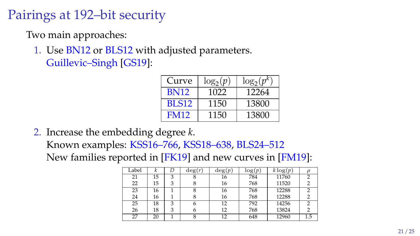#### Pairings at 192–bit security

Two main approaches:

1. Use BN12 or BLS12 with adjusted parameters. Guillevic–Singh [\[GS19\]](#page-29-2):

| Curve        | $\log_2(p)$ | $\log_2(p^k)$ |
|--------------|-------------|---------------|
| <b>BN12</b>  | 1022        | 12264         |
| <b>BLS12</b> | 1150        | 13800         |
| <b>FM12</b>  | 1150        | 13800         |

2. Increase the embedding degree *k*.

Known examples: KSS16–766, KSS18–638, BLS24–512 New families reported in [\[FK19\]](#page-28-2) and new curves in [\[FM19\]](#page-28-3):

| Label |    | D | $\deg(r)$ | $\deg(p)$ | log(p) | $k \log(p)$ |     |
|-------|----|---|-----------|-----------|--------|-------------|-----|
| 21    | 15 | 3 | o         | 16        | 784    | 11760       |     |
| 22    | 15 | 3 |           | 16        | 768    | 11520       |     |
| 23    | 16 |   | 8         | 16        | 768    | 12288       | ◠   |
| 24    | 16 |   |           | 16        | 768    | 12288       |     |
| 25    | 18 | 3 | h         | 12        | 792    | 14256       | 2   |
| 26    | 18 | 3 |           | 12        | 768    | 13824       |     |
| 27    | 20 |   |           | 12        | 648    | 12960       | 1.5 |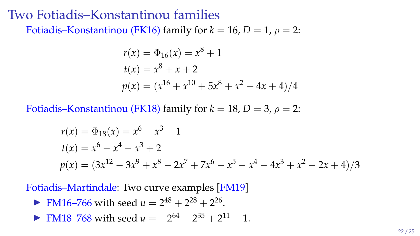#### Two Fotiadis–Konstantinou families Fotiadis–Konstantinou (FK16) family for  $k = 16$ ,  $D = 1$ ,  $\rho = 2$ :

$$
r(x) = \Phi_{16}(x) = x^8 + 1
$$
  
\n
$$
t(x) = x^8 + x + 2
$$
  
\n
$$
p(x) = (x^{16} + x^{10} + 5x^8 + x^2 + 4x + 4)/4
$$

Fotiadis–Konstantinou (FK18) family for  $k = 18$ ,  $D = 3$ ,  $\rho = 2$ :

$$
r(x) = \Phi_{18}(x) = x^6 - x^3 + 1
$$
  
\n
$$
t(x) = x^6 - x^4 - x^3 + 2
$$
  
\n
$$
p(x) = (3x^{12} - 3x^9 + x^8 - 2x^7 + 7x^6 - x^5 - x^4 - 4x^3 + x^2 - 2x + 4)/3
$$

Fotiadis–Martindale: Two curve examples [\[FM19\]](#page-28-3)

- FM16–766 with seed  $u = 2^{48} + 2^{28} + 2^{26}$ .
- FM18–768 with seed  $u = -2^{64} 2^{35} + 2^{11} 1$ .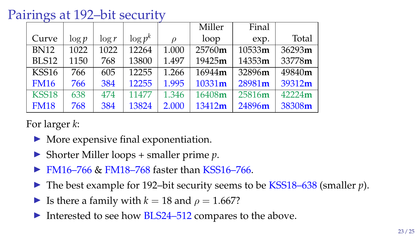Pairings at 192–bit security

|              |          |          |            |       | Miller | Final  |        |
|--------------|----------|----------|------------|-------|--------|--------|--------|
| Curve        | $\log p$ | $\log r$ | $\log p^k$ |       | loop   | exp.   | Total  |
| <b>BN12</b>  | 1022     | 1022     | 12264      | 1.000 | 25760m | 10533m | 36293m |
| BLS12        | 1150     | 768      | 13800      | 1.497 | 19425m | 14353m | 33778m |
| KSS16        | 766      | 605      | 12255      | 1.266 | 16944m | 32896m | 49840m |
| <b>FM16</b>  | 766      | 384      | 12255      | 1.995 | 10331m | 28981m | 39312m |
| <b>KSS18</b> | 638      | 474      | 11477      | 1.346 | 16408m | 25816m | 42224m |
| <b>FM18</b>  | 768      | 384      | 13824      | 2.000 | 13412m | 24896m | 38308m |

For larger *k*:

- $\blacktriangleright$  More expensive final exponentiation.
- I Shorter Miller loops + smaller prime *p*.
- I FM16–766 & FM18–768 faster than KSS16–766.
- The best example for 192–bit security seems to be KSS18–638 (smaller *p*).
- Is there a family with  $k = 18$  and  $\rho = 1.667$ ?
- Interested to see how BLS24–512 compares to the above.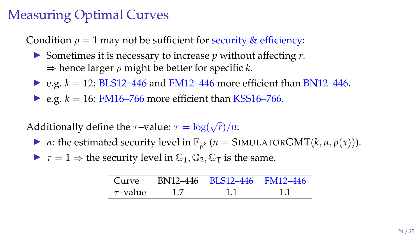# Measuring Optimal Curves

Condition  $\rho = 1$  may not be sufficient for security & efficiency:

- ▶ Sometimes it is necessary to increase *p* without affecting *r*.  $\Rightarrow$  hence larger  $\rho$  might be better for specific *k*.
- $\triangleright$  e.g.  $k = 12$ : BLS12–446 and FM12–446 more efficient than BN12–446.
- $\blacktriangleright$  e.g.  $k = 16$ : FM16–766 more efficient than KSS16–766.

Additionally define the  $\tau$ -value:  $\tau = \log(\sqrt{r})/n$ :

- $\blacktriangleright$  *n*: the estimated security level in  $\mathbb{F}_{p^k}$  (*n* = SIMULATORGMT(*k*, *u*, *p*(*x*))).
- $\triangleright \tau = 1 \Rightarrow$  the security level in  $\mathbb{G}_1, \mathbb{G}_2, \mathbb{G}_T$  is the same.

| Curve         | BN12-446 BLS12-446 FM12-446 |  |
|---------------|-----------------------------|--|
| $\tau$ -value |                             |  |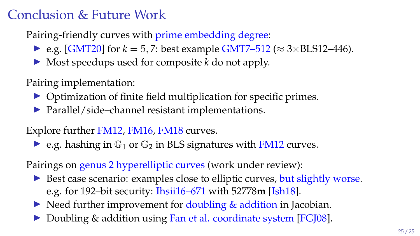#### Conclusion & Future Work

Pairing-friendly curves with prime embedding degree:

- $\triangleright$  e.g. [\[GMT20\]](#page-28-1) for *k* = 5,7: best example GMT7–512 (≈ 3×BLS12–446).
- $\triangleright$  Most speedups used for composite *k* do not apply.

Pairing implementation:

- $\triangleright$  Optimization of finite field multiplication for specific primes.
- $\blacktriangleright$  Parallel/side–channel resistant implementations.

Explore further FM12, FM16, FM18 curves.

e.g. hashing in  $\mathbb{G}_1$  or  $\mathbb{G}_2$  in BLS signatures with FM12 curves.

Pairings on genus 2 hyperelliptic curves (work under review):

- $\triangleright$  Best case scenario: examples close to elliptic curves, but slightly worse. e.g. for 192–bit security: Ihsii16–671 with 52778**m** [\[Ish18\]](#page-29-3).
- $\triangleright$  Need further improvement for doubling & addition in Jacobian.
- Doubling & addition using Fan et al. coordinate system [\[FGJ08\]](#page-27-3).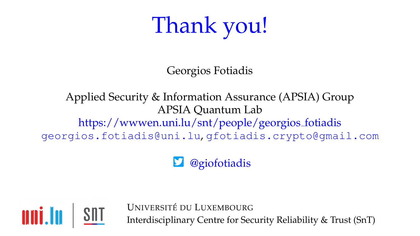# Thank you!

Georgios Fotiadis

Applied Security & Information Assurance (APSIA) Group APSIA Quantum Lab [https://wwwen.uni.lu/snt/people/georgios](https://wwwen.uni.lu/snt/people/georgios_fotiadis) fotiadis georgios.fotiadis@uni.lu, gfotiadis.crypto@gmail.com

@giofotiadis



UNIVERSITE DU ´ LUXEMBOURG Interdisciplinary Centre for Security Reliability & Trust (SnT)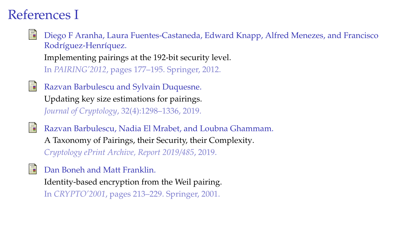# References I

Diego F Aranha, Laura Fuentes-Castaneda, Edward Knapp, Alfred Menezes, and Francisco Rodríguez-Henríquez. Implementing pairings at the 192-bit security level. In *PAIRING'2012*, pages 177–195. Springer, 2012.

<span id="page-26-1"></span>螶

<span id="page-26-3"></span>F.

Razvan Barbulescu and Sylvain Duquesne. Updating key size estimations for pairings. *Journal of Cryptology*, 32(4):1298–1336, 2019.

<span id="page-26-2"></span>螶

Razvan Barbulescu, Nadia El Mrabet, and Loubna Ghammam. A Taxonomy of Pairings, their Security, their Complexity. *Cryptology ePrint Archive, Report 2019/485*, 2019.

#### <span id="page-26-0"></span>Dan Boneh and Matt Franklin.

Identity-based encryption from the Weil pairing. In *CRYPTO'2001*, pages 213–229. Springer, 2001.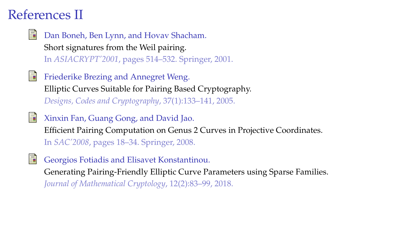# References II

- <span id="page-27-0"></span>F. Dan Boneh, Ben Lynn, and Hovav Shacham. Short signatures from the Weil pairing. In *ASIACRYPT'2001*, pages 514–532. Springer, 2001.
- <span id="page-27-1"></span>冨 Friederike Brezing and Annegret Weng. Elliptic Curves Suitable for Pairing Based Cryptography. *Designs, Codes and Cryptography*, 37(1):133–141, 2005.
- <span id="page-27-3"></span>螶 Xinxin Fan, Guang Gong, and David Jao. Efficient Pairing Computation on Genus 2 Curves in Projective Coordinates. In *SAC'2008*, pages 18–34. Springer, 2008.
- <span id="page-27-2"></span>F. Georgios Fotiadis and Elisavet Konstantinou. Generating Pairing-Friendly Elliptic Curve Parameters using Sparse Families. *Journal of Mathematical Cryptology*, 12(2):83–99, 2018.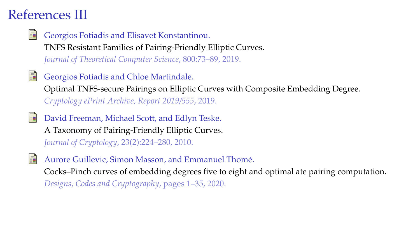# References III

<span id="page-28-2"></span>F.

Georgios Fotiadis and Elisavet Konstantinou. TNFS Resistant Families of Pairing-Friendly Elliptic Curves. *Journal of Theoretical Computer Science*, 800:73–89, 2019.

<span id="page-28-3"></span>螶

<span id="page-28-0"></span>F

Georgios Fotiadis and Chloe Martindale. Optimal TNFS-secure Pairings on Elliptic Curves with Composite Embedding Degree. *Cryptology ePrint Archive, Report 2019/555*, 2019.

- David Freeman, Michael Scott, and Edlyn Teske. A Taxonomy of Pairing-Friendly Elliptic Curves. *Journal of Cryptology*, 23(2):224–280, 2010.
- <span id="page-28-1"></span>螶 Aurore Guillevic, Simon Masson, and Emmanuel Thomé. Cocks–Pinch curves of embedding degrees five to eight and optimal ate pairing computation. *Designs, Codes and Cryptography*, pages 1–35, 2020.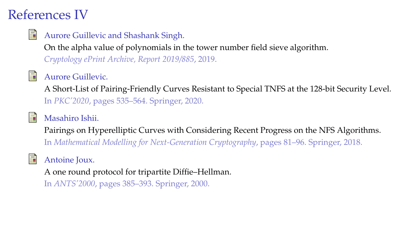# References IV

<span id="page-29-2"></span>

#### Aurore Guillevic and Shashank Singh.

On the alpha value of polynomials in the tower number field sieve algorithm.

*Cryptology ePrint Archive, Report 2019/885*, 2019.

<span id="page-29-1"></span>

#### Aurore Guillevic.

A Short-List of Pairing-Friendly Curves Resistant to Special TNFS at the 128-bit Security Level. In *PKC'2020*, pages 535–564. Springer, 2020.

<span id="page-29-3"></span>

#### Masahiro Ishii.

Pairings on Hyperelliptic Curves with Considering Recent Progress on the NFS Algorithms. In *Mathematical Modelling for Next-Generation Cryptography*, pages 81–96. Springer, 2018.

#### <span id="page-29-0"></span>星 Antoine Joux.

A one round protocol for tripartite Diffie–Hellman.

In *ANTS'2000*, pages 385–393. Springer, 2000.